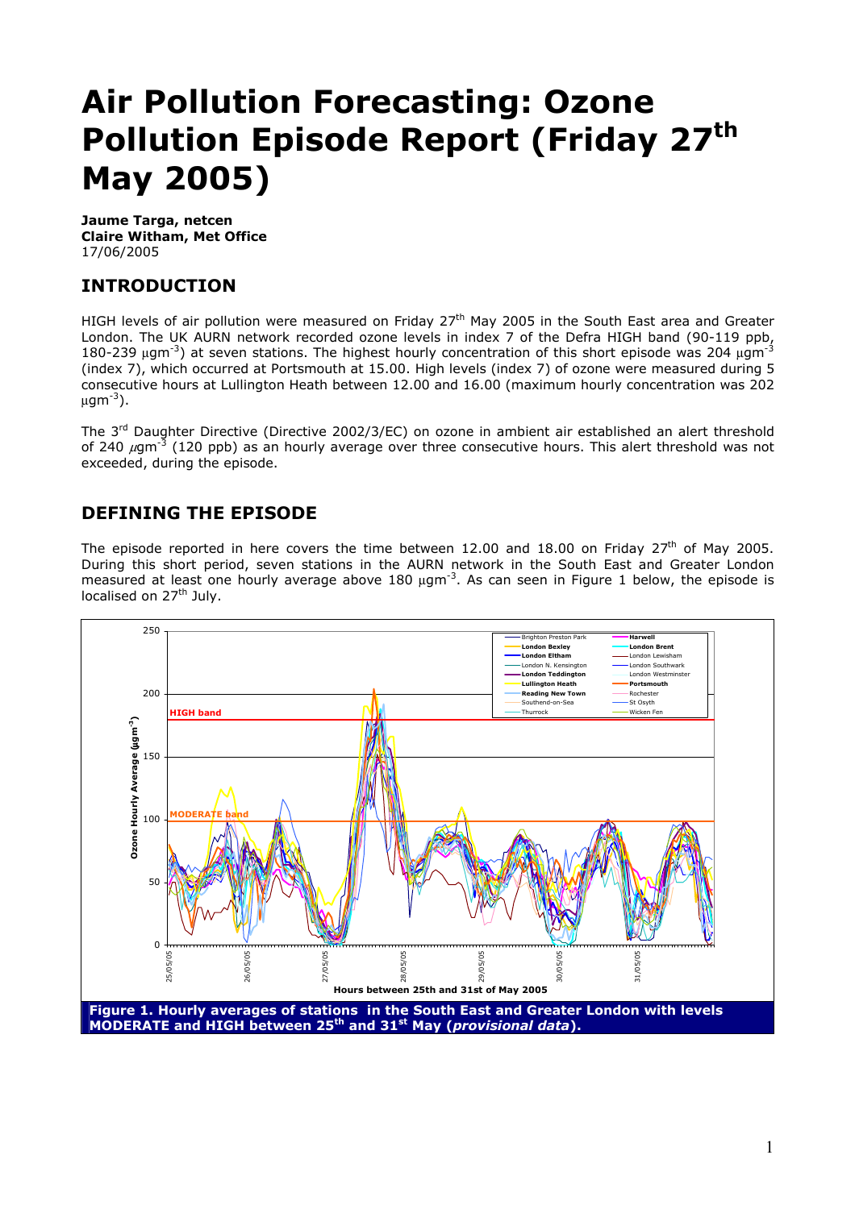# **Air Pollution Forecasting: Ozone Pollution Episode Report (Friday 27th May 2005)**

**Jaume Targa, netcen Claire Witham, Met Office**  17/06/2005

## **INTRODUCTION**

HIGH levels of air pollution were measured on Friday 27<sup>th</sup> May 2005 in the South East area and Greater London. The UK AURN network recorded ozone levels in index 7 of the Defra HIGH band (90-119 ppb, 180-239  $\mu$ gm<sup>-3</sup>) at seven stations. The highest hourly concentration of this short episode was 204  $\mu$ gm<sup>-3</sup> (index 7), which occurred at Portsmouth at 15.00. High levels (index 7) of ozone were measured during 5 consecutive hours at Lullington Heath between 12.00 and 16.00 (maximum hourly concentration was 202  $\mu$ qm<sup>-3</sup>).

The 3<sup>rd</sup> Daughter Directive (Directive 2002/3/EC) on ozone in ambient air established an alert threshold of 240  $\mu$ gm<sup>-3</sup> (120 ppb) as an hourly average over three consecutive hours. This alert threshold was not exceeded, during the episode.

## **DEFINING THE EPISODE**

The episode reported in here covers the time between 12.00 and 18.00 on Friday 27<sup>th</sup> of May 2005. During this short period, seven stations in the AURN network in the South East and Greater London measured at least one hourly average above 180 ugm<sup>-3</sup>. As can seen in Figure 1 below, the episode is localised on 27<sup>th</sup> July.

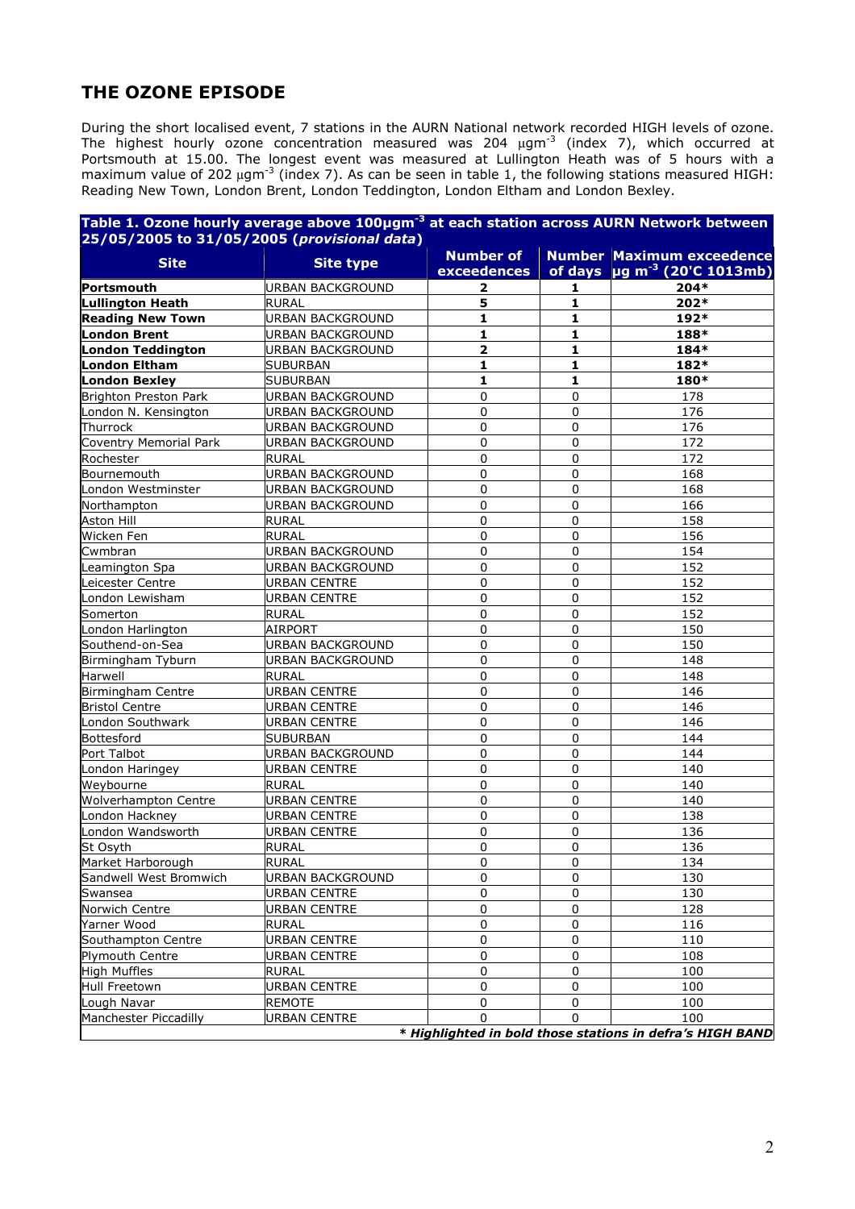## **THE OZONE EPISODE**

During the short localised event, 7 stations in the AURN National network recorded HIGH levels of ozone. The highest hourly ozone concentration measured was 204  $\mu$ gm<sup>-3</sup> (index 7), which occurred at Portsmouth at 15.00. The longest event was measured at Lullington Heath was of 5 hours with a maximum value of 202  $\mu$ gm<sup>-3</sup> (index 7). As can be seen in table 1, the following stations measured HIGH: Reading New Town, London Brent, London Teddington, London Eltham and London Bexley.

|                                      |                                      | <b>Number of</b> |               | <b>Number Maximum exceedence</b>              |
|--------------------------------------|--------------------------------------|------------------|---------------|-----------------------------------------------|
| <b>Site</b>                          | <b>Site type</b>                     | exceedences      |               | of days $\mu$ g m <sup>-3</sup> (20'C 1013mb) |
| Portsmouth                           | <b>URBAN BACKGROUND</b>              | 2                | 1             | $204*$                                        |
| Lullington Heath                     | <b>RURAL</b>                         | 5                | 1             | 202*                                          |
| <b>Reading New Town</b>              | <b>URBAN BACKGROUND</b>              | 1                | 1             | 192*                                          |
| <b>London Brent</b>                  | <b>URBAN BACKGROUND</b>              | 1                | 1             | 188*                                          |
| London Teddington                    | <b>URBAN BACKGROUND</b>              | 2                | 1             | 184*                                          |
| London Eltham                        | <b>SUBURBAN</b>                      | 1                | 1             | 182*                                          |
| <b>London Bexley</b>                 | <b>SUBURBAN</b>                      | 1                | 1             | 180*                                          |
| <b>Brighton Preston Park</b>         | <b>URBAN BACKGROUND</b>              | 0                | $\mathbf 0$   | 178                                           |
| London N. Kensington                 | <b>URBAN BACKGROUND</b>              | 0                | 0             | 176                                           |
| Thurrock                             | <b>URBAN BACKGROUND</b>              | 0                | 0             | 176                                           |
| Coventry Memorial Park               | <b>URBAN BACKGROUND</b>              | 0                | 0             | 172                                           |
| Rochester                            | <b>RURAL</b>                         | 0                | 0             | 172                                           |
| Bournemouth                          | <b>URBAN BACKGROUND</b>              | 0                | 0             | 168                                           |
| London Westminster                   | <b>URBAN BACKGROUND</b>              | 0                | 0             | 168                                           |
| Northampton                          | <b>URBAN BACKGROUND</b>              | 0                | $\mathbf 0$   | 166                                           |
| Aston Hill                           | <b>RURAL</b>                         | 0                | 0             | 158                                           |
| Wicken Fen                           | <b>RURAL</b>                         | 0                | 0             | 156                                           |
| Cwmbran                              | <b>URBAN BACKGROUND</b>              | 0                | 0             | 154                                           |
| Leamington Spa                       | <b>URBAN BACKGROUND</b>              | 0                | 0             | 152                                           |
| Leicester Centre                     | <b>URBAN CENTRE</b>                  | 0                | $\mathbf 0$   | 152                                           |
| London Lewisham                      | <b>URBAN CENTRE</b>                  | 0                | 0             | 152                                           |
| Somerton                             | <b>RURAL</b>                         | 0                | 0             | 152                                           |
| London Harlington                    | <b>AIRPORT</b>                       | 0                | 0             | 150                                           |
| Southend-on-Sea                      | <b>URBAN BACKGROUND</b>              | 0                | 0             | 150                                           |
| Birmingham Tyburn                    | URBAN BACKGROUND                     | $\Omega$         | $\mathbf 0$   | 148                                           |
| Harwell                              | <b>RURAL</b>                         | 0                | 0             | 148                                           |
| <b>Birmingham Centre</b>             | <b>URBAN CENTRE</b>                  | 0                | 0             | 146                                           |
| <b>Bristol Centre</b>                | <b>URBAN CENTRE</b>                  | 0                | $\Omega$      | 146                                           |
| London Southwark                     | <b>URBAN CENTRE</b>                  | 0                | 0             | 146                                           |
| Bottesford                           | <b>SUBURBAN</b>                      | 0                | 0             | 144                                           |
| Port Talbot                          | <b>URBAN BACKGROUND</b>              | 0                | 0             | 144                                           |
| London Haringey                      | <b>URBAN CENTRE</b>                  | 0                | 0             | 140                                           |
| Weybourne                            | <b>RURAL</b>                         | 0                | 0             | 140                                           |
| <b>Wolverhampton Centre</b>          | <b>URBAN CENTRE</b>                  | 0                | $\Omega$      | 140                                           |
| London Hackney                       | <b>URBAN CENTRE</b>                  | 0                | 0             | 138                                           |
| London Wandsworth                    | <b>URBAN CENTRE</b>                  | 0                | 0             | 136                                           |
| St Osyth                             | <b>RURAL</b>                         | 0                | 0             | 136                                           |
| Market Harborough                    | <b>RURAL</b>                         | $\mathsf 0$      | $\mathsf 0$   | 134                                           |
| Sandwell West Bromwich               | <b>URBAN BACKGROUND</b>              | $\Omega$         | 0             | 130                                           |
| Swansea                              | <b>URBAN CENTRE</b>                  | 0                | 0             | 130                                           |
| Norwich Centre                       | <b>URBAN CENTRE</b>                  | 0                | 0             | 128                                           |
| Yarner Wood                          | <b>RURAL</b>                         | 0                | 0             | 116                                           |
| Southampton Centre                   | <b>URBAN CENTRE</b>                  | 0                | $\mathbf 0$   | 110                                           |
| <b>Plymouth Centre</b>               | <b>URBAN CENTRE</b>                  | 0                | 0             | 108                                           |
| <b>High Muffles</b>                  | <b>RURAL</b>                         | 0                | 0             | 100                                           |
|                                      | <b>URBAN CENTRE</b>                  | $\mathbf 0$      | 0             | 100                                           |
| Hull Freetown                        |                                      | 0                |               |                                               |
| Lough Navar<br>Manchester Piccadilly | <b>REMOTE</b><br><b>URBAN CENTRE</b> | $\Omega$         | 0<br>$\Omega$ | 100<br>100                                    |
|                                      |                                      |                  |               |                                               |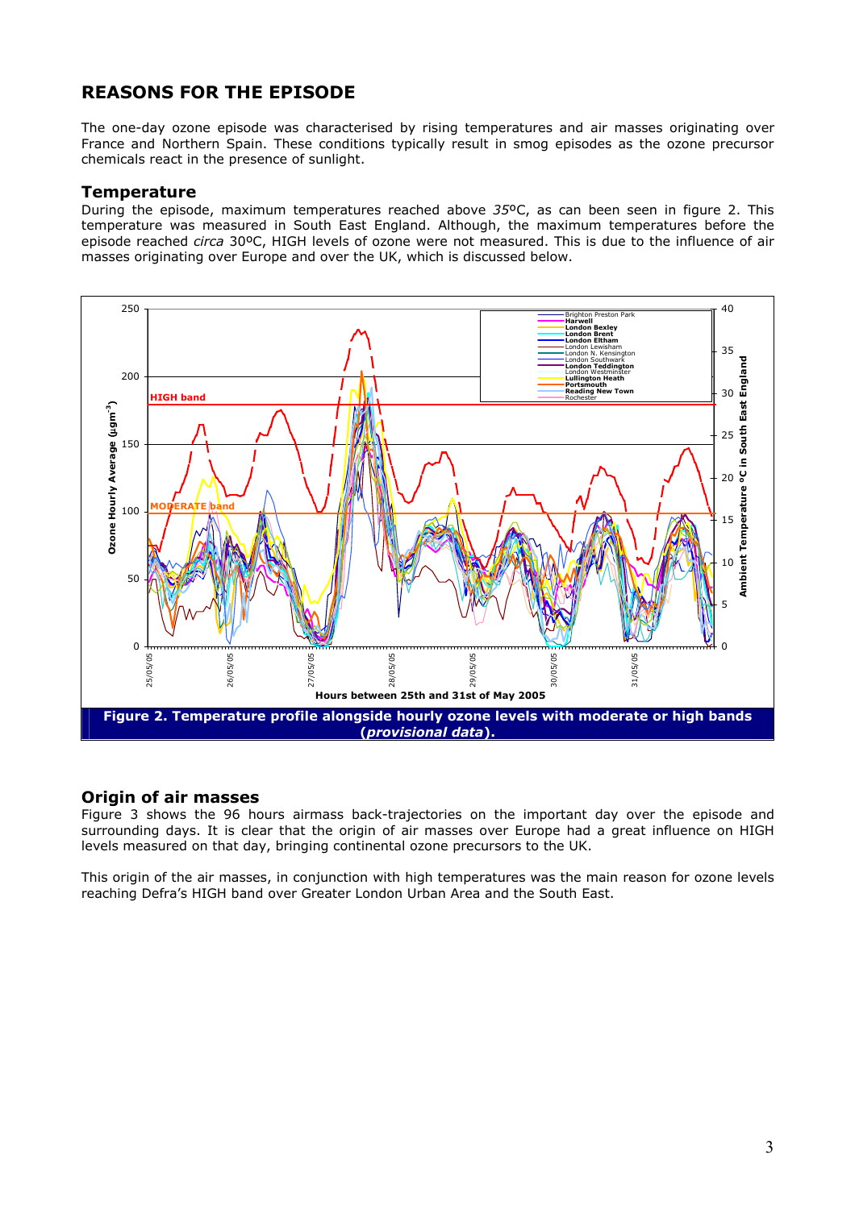## **REASONS FOR THE EPISODE**

The one-day ozone episode was characterised by rising temperatures and air masses originating over France and Northern Spain. These conditions typically result in smog episodes as the ozone precursor chemicals react in the presence of sunlight.

#### **Temperature**

During the episode, maximum temperatures reached above *35*ºC, as can been seen in figure 2. This temperature was measured in South East England. Although, the maximum temperatures before the episode reached *circa* 30ºC, HIGH levels of ozone were not measured. This is due to the influence of air masses originating over Europe and over the UK, which is discussed below.



#### **Origin of air masses**

Figure 3 shows the 96 hours airmass back-trajectories on the important day over the episode and surrounding days. It is clear that the origin of air masses over Europe had a great influence on HIGH levels measured on that day, bringing continental ozone precursors to the UK.

This origin of the air masses, in conjunction with high temperatures was the main reason for ozone levels reaching Defra's HIGH band over Greater London Urban Area and the South East.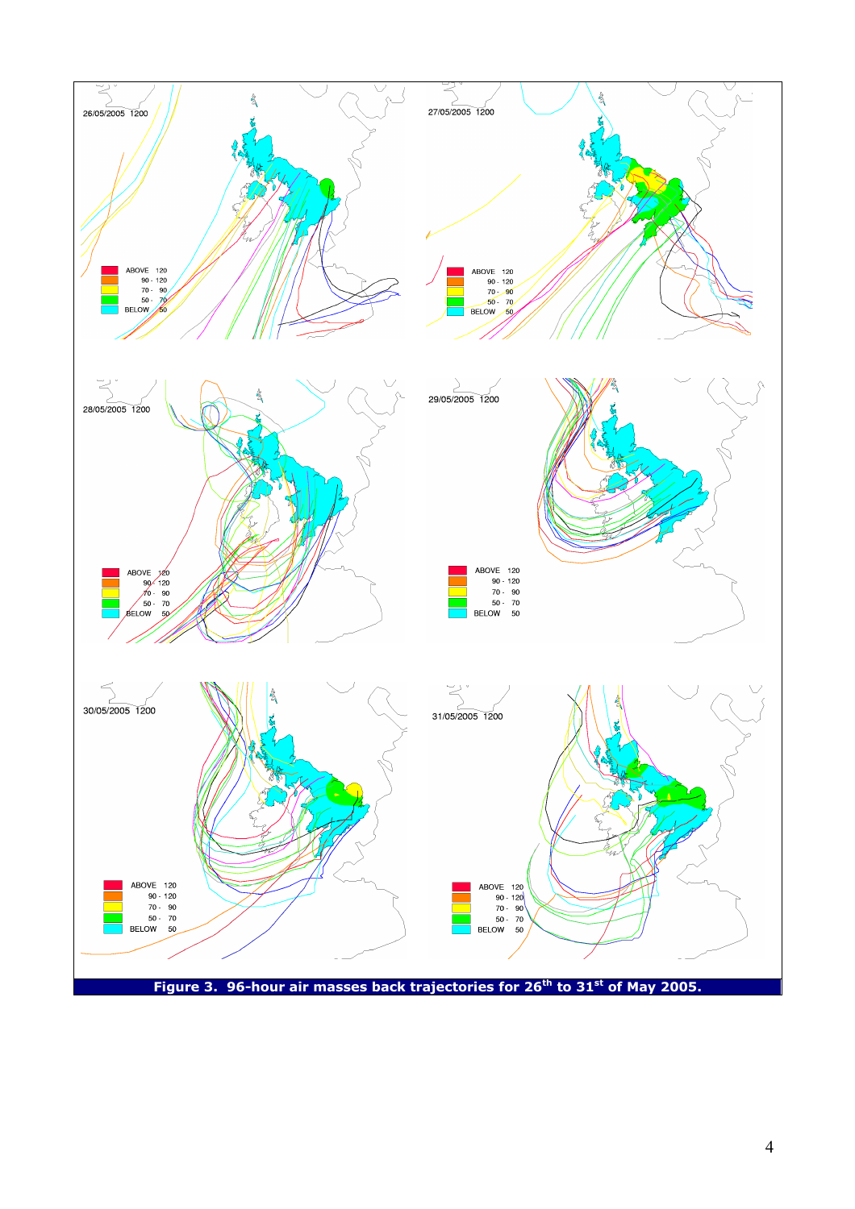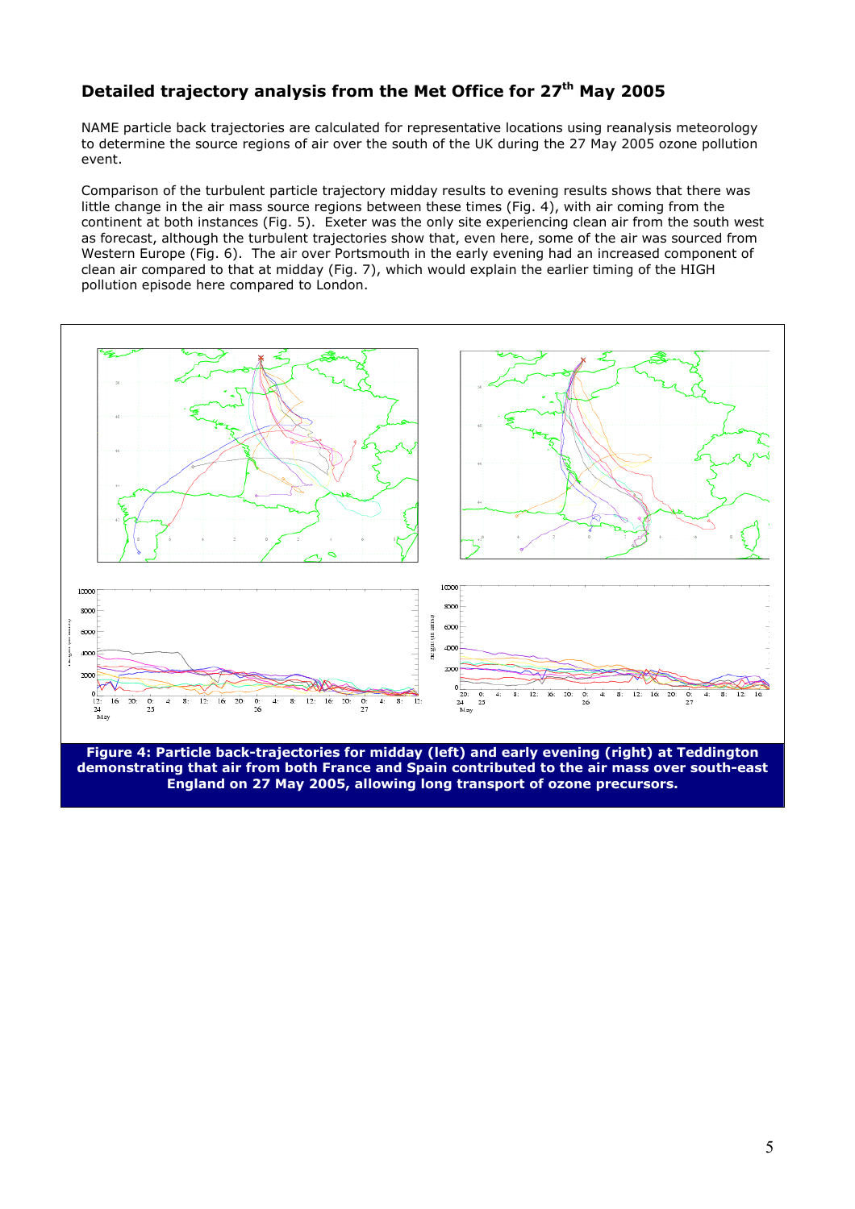# **Detailed trajectory analysis from the Met Office for 27<sup>th</sup> May 2005**

NAME particle back trajectories are calculated for representative locations using reanalysis meteorology to determine the source regions of air over the south of the UK during the 27 May 2005 ozone pollution event.

Comparison of the turbulent particle trajectory midday results to evening results shows that there was little change in the air mass source regions between these times (Fig. 4), with air coming from the continent at both instances (Fig. 5). Exeter was the only site experiencing clean air from the south west as forecast, although the turbulent trajectories show that, even here, some of the air was sourced from Western Europe (Fig. 6). The air over Portsmouth in the early evening had an increased component of clean air compared to that at midday (Fig. 7), which would explain the earlier timing of the HIGH pollution episode here compared to London.



**Figure 4: Particle back-trajectories for midday (left) and early evening (right) at Teddington demonstrating that air from both France and Spain contributed to the air mass over south-east England on 27 May 2005, allowing long transport of ozone precursors.**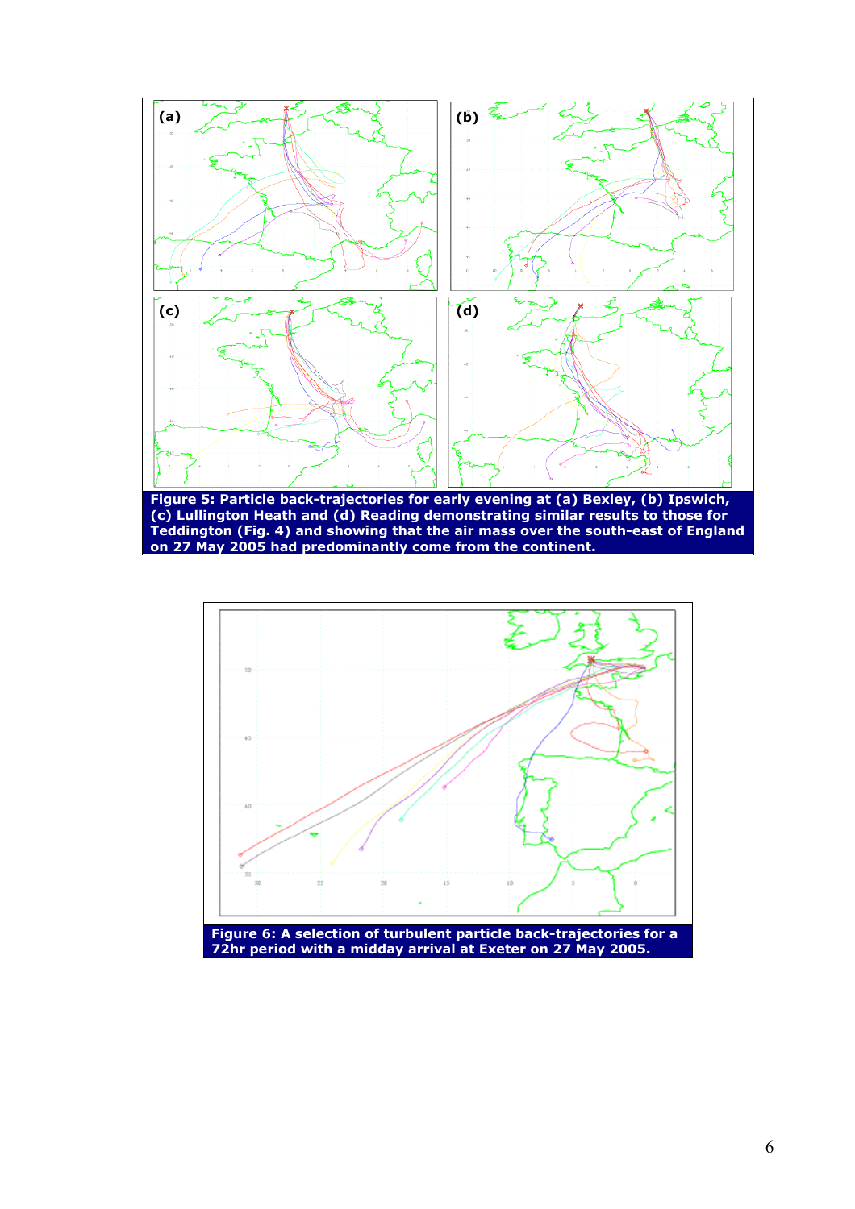



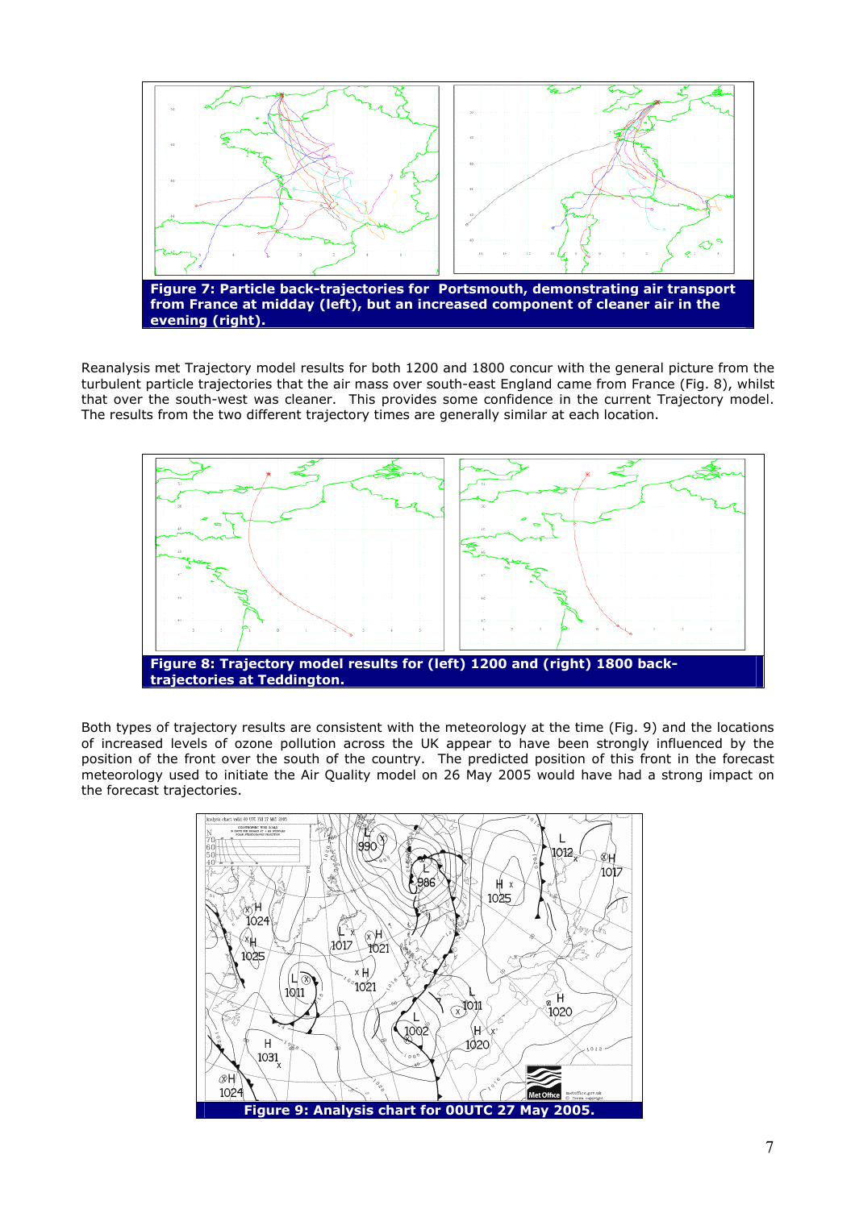

Reanalysis met Trajectory model results for both 1200 and 1800 concur with the general picture from the turbulent particle trajectories that the air mass over south-east England came from France (Fig. 8), whilst that over the south-west was cleaner. This provides some confidence in the current Trajectory model. The results from the two different trajectory times are generally similar at each location.



Both types of trajectory results are consistent with the meteorology at the time (Fig. 9) and the locations of increased levels of ozone pollution across the UK appear to have been strongly influenced by the position of the front over the south of the country. The predicted position of this front in the forecast meteorology used to initiate the Air Quality model on 26 May 2005 would have had a strong impact on the forecast trajectories.

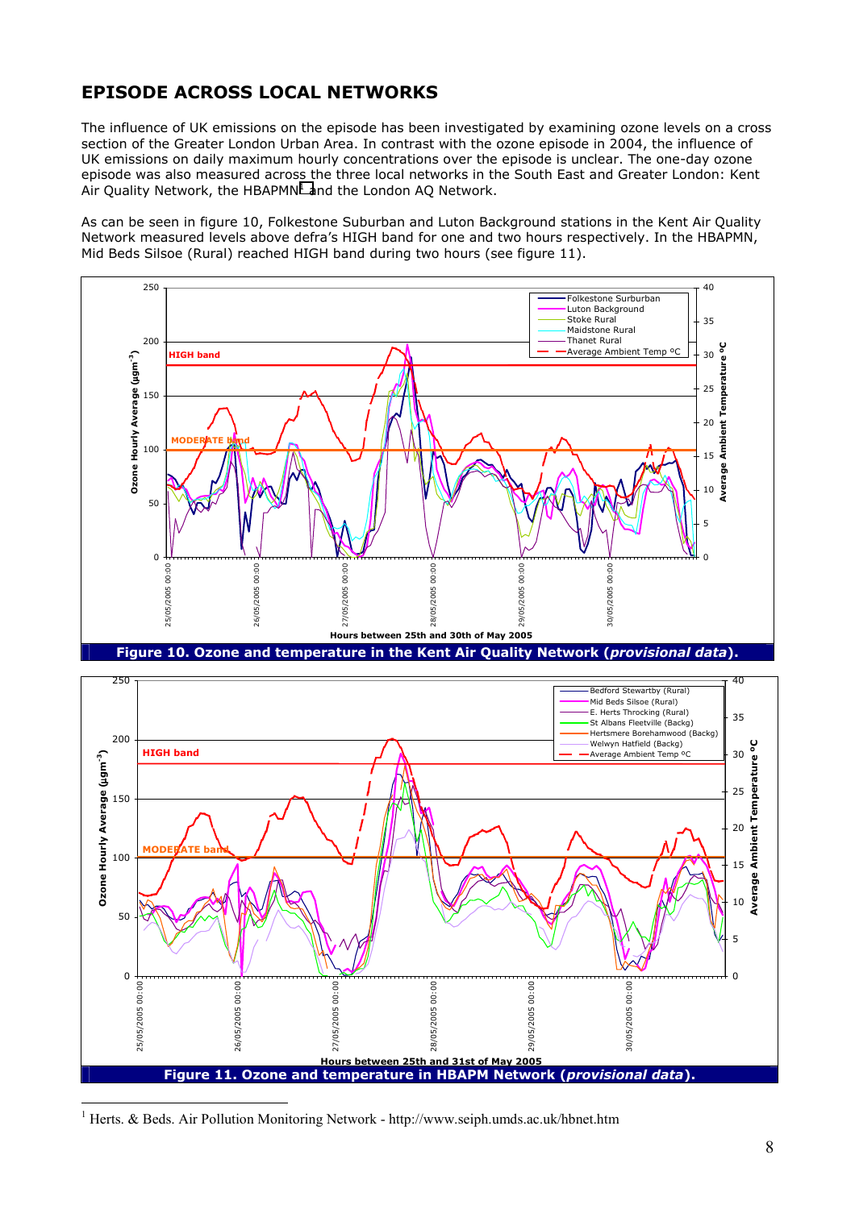## **EPISODE ACROSS LOCAL NETWORKS**

The influence of UK emissions on the episode has been investigated by examining ozone levels on a cross section of the Greater London Urban Area. In contrast with the ozone episode in 2004, the influence of UK emissions on daily maximum hourly concentrations over the episode is unclear. The one-day ozone episode was also measured across the three local networks in the South East and Greater London: Kent Air Quality Network, the HBAPMN $<sup>1</sup>$  and the London AQ Network.</sup>

As can be seen in figure 10, Folkestone Suburban and Luton Background stations in the Kent Air Quality Network measured levels above defra's HIGH band for one and two hours respectively. In the HBAPMN, Mid Beds Silsoe (Rural) reached HIGH band during two hours (see figure 11).





<sup>1</sup> Herts. & Beds. Air Pollution Monitoring Network - http://www.seiph.umds.ac.uk/hbnet.htm

 $\overline{a}$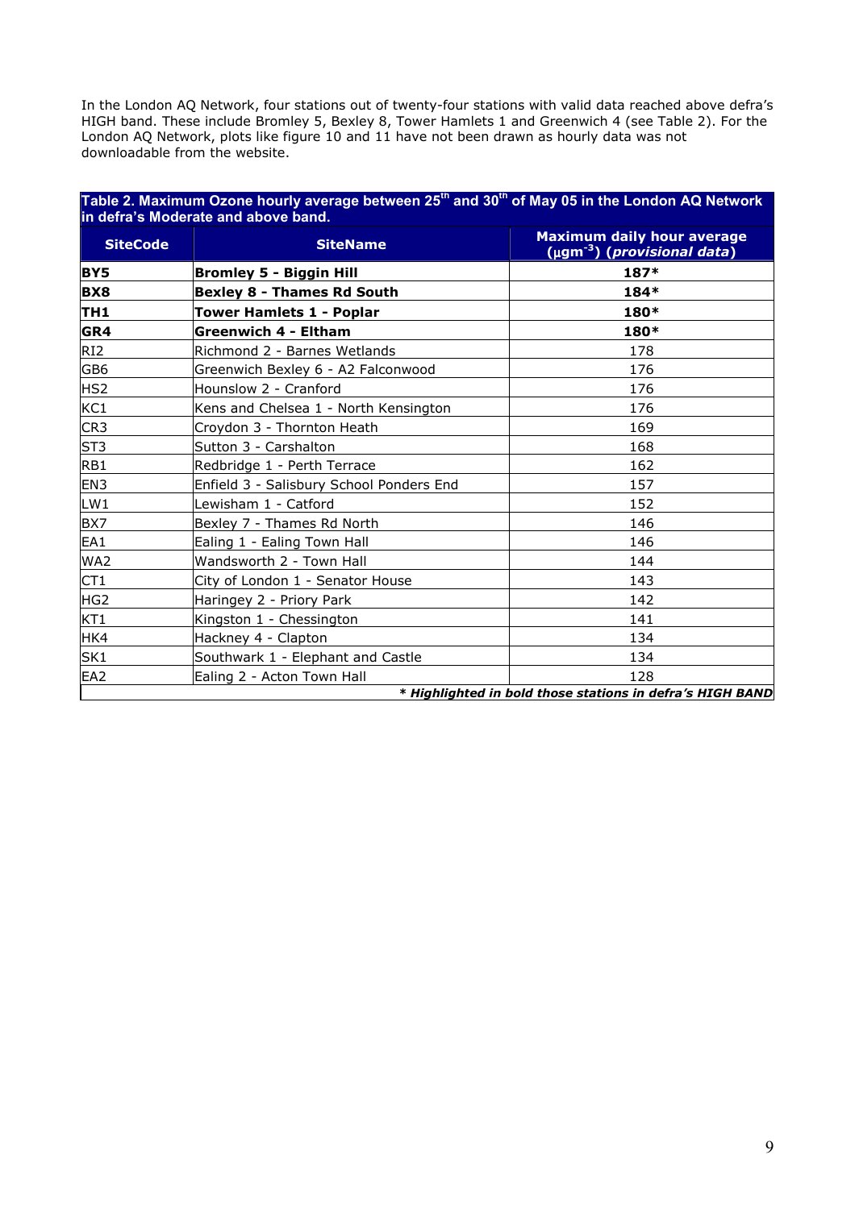In the London AQ Network, four stations out of twenty-four stations with valid data reached above defra's HIGH band. These include Bromley 5, Bexley 8, Tower Hamlets 1 and Greenwich 4 (see Table 2). For the London AQ Network, plots like figure 10 and 11 have not been drawn as hourly data was not downloadable from the website.

#### **Table 2. Maximum Ozone hourly average between 25th and 30th of May 05 in the London AQ Network in defra's Moderate and above band.**

| <b>SiteCode</b> | <b>SiteName</b>                          | <b>Maximum daily hour average</b><br>$(\mu$ gm <sup>-3</sup> ) ( <i>provisional data</i> ) |
|-----------------|------------------------------------------|--------------------------------------------------------------------------------------------|
| <b>BY5</b>      | <b>Bromley 5 - Biggin Hill</b>           | 187*                                                                                       |
| <b>BX8</b>      | <b>Bexley 8 - Thames Rd South</b>        | 184*                                                                                       |
| TH1             | <b>Tower Hamlets 1 - Poplar</b>          | 180*                                                                                       |
| GR4             | <b>Greenwich 4 - Eltham</b>              | 180*                                                                                       |
| RI <sub>2</sub> | Richmond 2 - Barnes Wetlands             | 178                                                                                        |
| GB <sub>6</sub> | Greenwich Bexley 6 - A2 Falconwood       | 176                                                                                        |
| HS <sub>2</sub> | Hounslow 2 - Cranford                    | 176                                                                                        |
| KC1             | Kens and Chelsea 1 - North Kensington    | 176                                                                                        |
| CR <sub>3</sub> | Croydon 3 - Thornton Heath               | 169                                                                                        |
| ST <sub>3</sub> | Sutton 3 - Carshalton                    | 168                                                                                        |
| RB1             | Redbridge 1 - Perth Terrace              | 162                                                                                        |
| EN3             | Enfield 3 - Salisbury School Ponders End | 157                                                                                        |
| LW1             | Lewisham 1 - Catford                     | 152                                                                                        |
| BX7             | Bexley 7 - Thames Rd North               | 146                                                                                        |
| EA1             | Ealing 1 - Ealing Town Hall              | 146                                                                                        |
| WA2             | Wandsworth 2 - Town Hall                 | 144                                                                                        |
| CT1             | City of London 1 - Senator House         | 143                                                                                        |
| HG <sub>2</sub> | Haringey 2 - Priory Park                 | 142                                                                                        |
| KT1             | Kingston 1 - Chessington                 | 141                                                                                        |
| HK4             | Hackney 4 - Clapton                      | 134                                                                                        |
| SK <sub>1</sub> | Southwark 1 - Elephant and Castle        | 134                                                                                        |
| EA <sub>2</sub> | Ealing 2 - Acton Town Hall               | 128                                                                                        |

*\* Highlighted in bold those stations in defra's HIGH BAND*